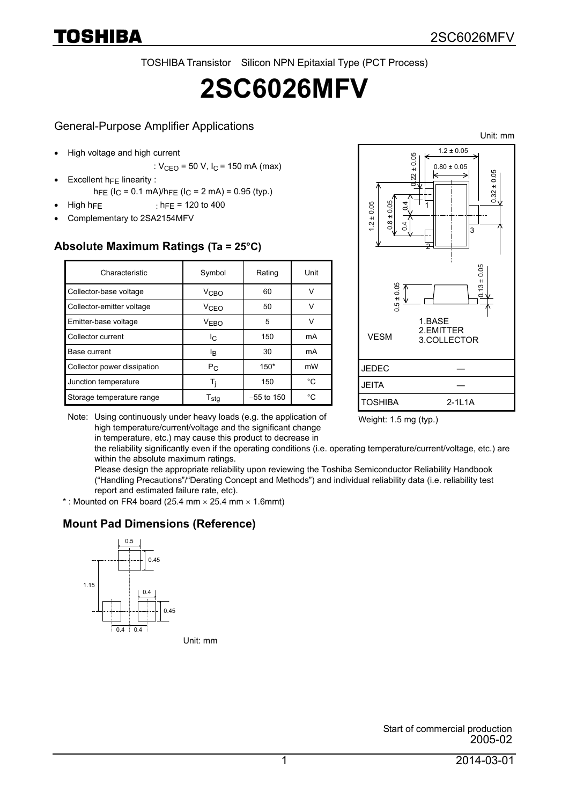TOSHIBA Transistor Silicon NPN Epitaxial Type (PCT Process)

# **2SC6026MFV**

#### General-Purpose Amplifier Applications

- High voltage and high current
	- :  $V_{CFO}$  = 50 V,  $I_C$  = 150 mA (max)
	- Excellent  $h_{FE}$  linearity :
- h<sub>FE</sub> ( $I_C$  = 0.1 mA)/h<sub>FE</sub> ( $I_C$  = 2 mA) = 0.95 (typ.)  $\text{High hFE}$  : h<sub>FE</sub> = 120 to 400
- Complementary to 2SA2154MFV

#### **Absolute Maximum Ratings (Ta = 25°C)**

| Characteristic              | Symbol                      | Rating       | Unit |
|-----------------------------|-----------------------------|--------------|------|
| Collector-base voltage      | V <sub>CBO</sub>            | 60           | v    |
| Collector-emitter voltage   | V <sub>CEO</sub>            | 50           | v    |
| Emitter-base voltage        | <b>VEBO</b>                 | 5            | v    |
| Collector current           | I <sub>C</sub>              | 150          | mA   |
| Base current                | ΙŖ                          | 30           | mA   |
| Collector power dissipation | $P_{C}$                     | $150*$       | mW   |
| Junction temperature        | Ti                          | 150          | °C   |
| Storage temperature range   | $\mathsf{T}_{\mathsf{std}}$ | $-55$ to 150 | °C.  |



Weight: 1.5 mg (typ.)

Note: Using continuously under heavy loads (e.g. the application of high temperature/current/voltage and the significant change in temperature, etc.) may cause this product to decrease in

> the reliability significantly even if the operating conditions (i.e. operating temperature/current/voltage, etc.) are within the absolute maximum ratings.

Please design the appropriate reliability upon reviewing the Toshiba Semiconductor Reliability Handbook ("Handling Precautions"/"Derating Concept and Methods") and individual reliability data (i.e. reliability test report and estimated failure rate, etc).

\* : Mounted on FR4 board (25.4 mm  $\times$  25.4 mm  $\times$  1.6mmt)

#### **Mount Pad Dimensions (Reference)**



Unit: mm

Start of commercial production 2005-02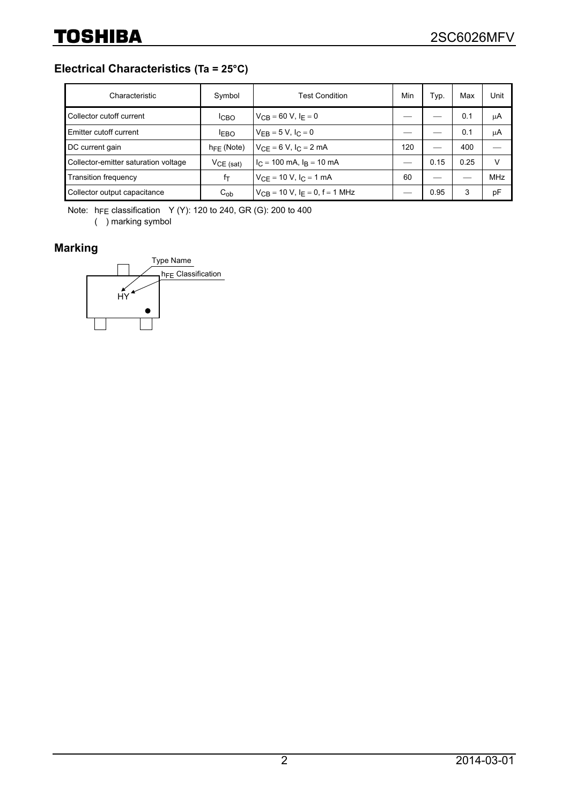#### **Electrical Characteristics (Ta = 25°C)**

| Characteristic                       | Symbol                 | <b>Test Condition</b>                          | Min | Typ. | Max  | Unit       |
|--------------------------------------|------------------------|------------------------------------------------|-----|------|------|------------|
| Collector cutoff current             | <b>ICBO</b>            | $V_{CB} = 60 V, I_F = 0$                       |     |      | 0.1  | μA         |
| Emitter cutoff current               | <b>IEBO</b>            | $V_{FR} = 5 V, I_C = 0$                        |     |      | 0.1  | μA         |
| DC current gain                      | $h_{\text{FF}}$ (Note) | $V_{CF} = 6 V, I_C = 2 mA$                     | 120 |      | 400  |            |
| Collector-emitter saturation voltage | $VCE$ (sat)            | $I_C = 100$ mA, $I_B = 10$ mA                  |     | 0.15 | 0.25 | v          |
| <b>Transition frequency</b>          | fτ                     | $V_{CF} = 10 V, I_C = 1 mA$                    | 60  |      |      | <b>MHz</b> |
| Collector output capacitance         | $C_{ob}$               | $V_{CB}$ = 10 V, I <sub>F</sub> = 0, f = 1 MHz |     | 0.95 | 3    | pF         |

Note:  $h_{FE}$  classification Y (Y): 120 to 240, GR (G): 200 to 400

( ) marking symbol

### **Marking**

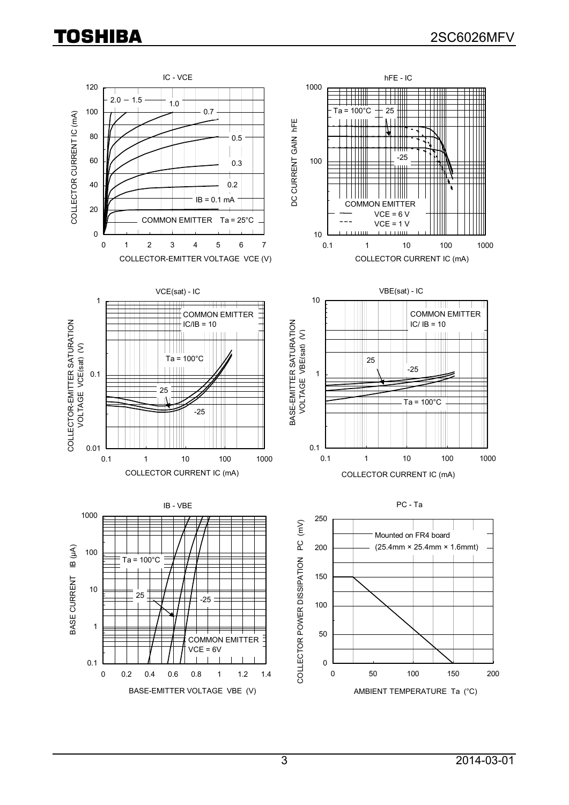## TOSHIBA